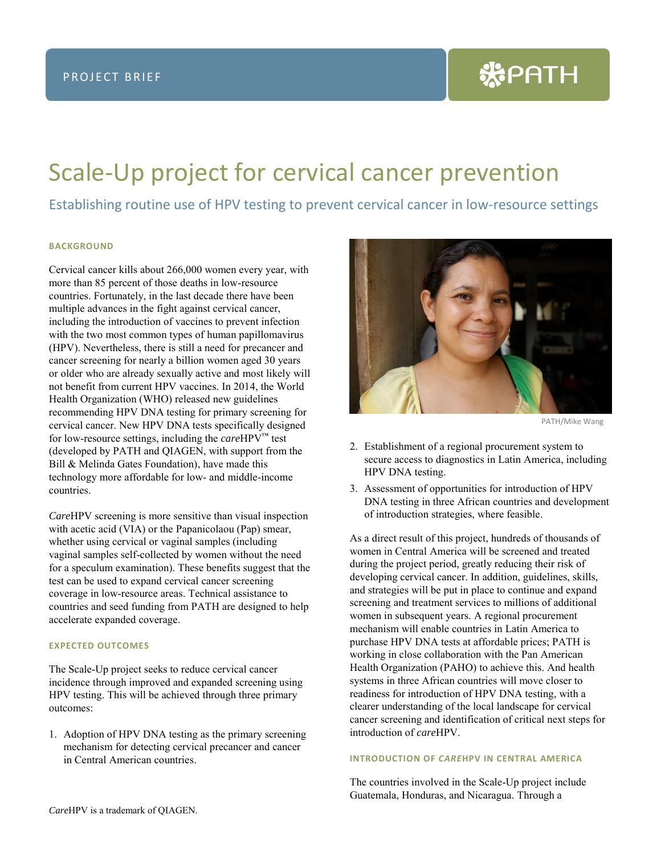# Scale-Up project for cervical cancer prevention

Establishing routine use of HPV testing to prevent cervical cancer in low-resource settings

# **BACKGROUND**

Cervical cancer kills about 266,000 women every year, with more than 85 percent of those deaths in low-resource countries. Fortunately, in the last decade there have been multiple advances in the fight against cervical cancer, including the introduction of vaccines to prevent infection with the two most common types of human papillomavirus (HPV). Nevertheless, there is still a need for precancer and cancer screening for nearly a billion women aged 30 years or older who are already sexually active and most likely will not benefit from current HPV vaccines. In 2014, the World Health Organization (WHO) released new guidelines recommending HPV DNA testing for primary screening for cervical cancer. New HPV DNA tests specifically designed for low-resource settings, including the *care*HPV™ test (developed by PATH and QIAGEN, with support from the Bill & Melinda Gates Foundation), have made this technology more affordable for low- and middle-income countries.

*Care*HPV screening is more sensitive than visual inspection with acetic acid (VIA) or the Papanicolaou (Pap) smear, whether using cervical or vaginal samples (including vaginal samples self-collected by women without the need for a speculum examination). These benefits suggest that the test can be used to expand cervical cancer screening coverage in low-resource areas. Technical assistance to countries and seed funding from PATH are designed to help accelerate expanded coverage.

## **EXPECTED OUTCOMES**

The Scale-Up project seeks to reduce cervical cancer incidence through improved and expanded screening using HPV testing. This will be achieved through three primary outcomes:

1. Adoption of HPV DNA testing as the primary screening mechanism for detecting cervical precancer and cancer in Central American countries.



PATH/Mike Wang

- 2. Establishment of a regional procurement system to secure access to diagnostics in Latin America, including HPV DNA testing.
- 3. Assessment of opportunities for introduction of HPV DNA testing in three African countries and development of introduction strategies, where feasible.

As a direct result of this project, hundreds of thousands of women in Central America will be screened and treated during the project period, greatly reducing their risk of developing cervical cancer. In addition, guidelines, skills, and strategies will be put in place to continue and expand screening and treatment services to millions of additional women in subsequent years. A regional procurement mechanism will enable countries in Latin America to purchase HPV DNA tests at affordable prices; PATH is working in close collaboration with the Pan American Health Organization (PAHO) to achieve this. And health systems in three African countries will move closer to readiness for introduction of HPV DNA testing, with a clearer understanding of the local landscape for cervical cancer screening and identification of critical next steps for introduction of *care*HPV.

#### **INTRODUCTION OF** *CARE***HPV IN CENTRAL AMERICA**

The countries involved in the Scale-Up project include Guatemala, Honduras, and Nicaragua. Through a